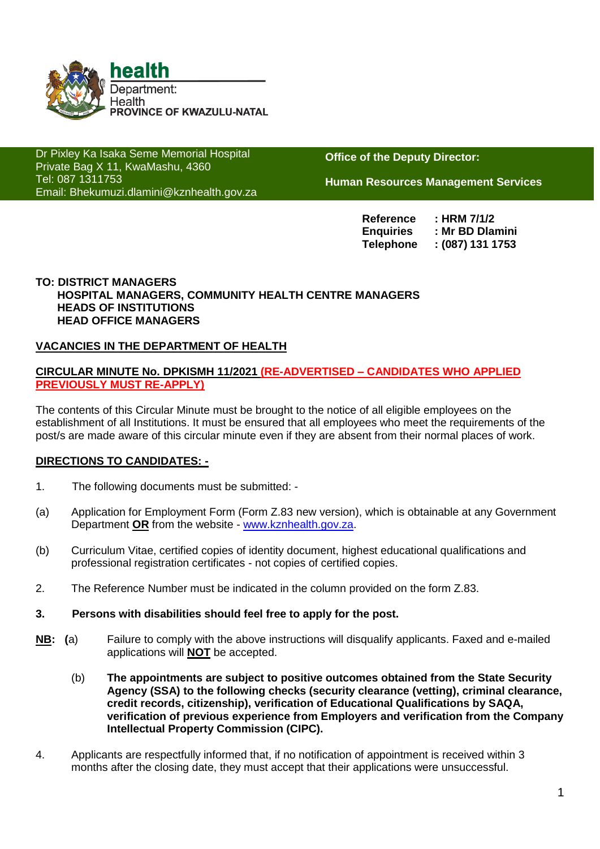

Dr Pixley Ka Isaka Seme Memorial Hospital Private Bag X 11, KwaMashu, 4360 Tel: 087 1311753 Email: Bhekumuzi.dlamini@kznhealth.gov.za

www.kznhealth.gov.za

**Office of the Deputy Director:**

**Human Resources Management Services**

**Reference : HRM 7/1/2 Enquiries : Mr BD Dlamini Telephone : (087) 131 1753**

#### **TO: DISTRICT MANAGERS HOSPITAL MANAGERS, COMMUNITY HEALTH CENTRE MANAGERS HEADS OF INSTITUTIONS HEAD OFFICE MANAGERS**

#### **VACANCIES IN THE DEPARTMENT OF HEALTH**

#### **CIRCULAR MINUTE No. DPKISMH 11/2021 (RE-ADVERTISED – CANDIDATES WHO APPLIED PREVIOUSLY MUST RE-APPLY)**

The contents of this Circular Minute must be brought to the notice of all eligible employees on the establishment of all Institutions. It must be ensured that all employees who meet the requirements of the post/s are made aware of this circular minute even if they are absent from their normal places of work.

#### **DIRECTIONS TO CANDIDATES: -**

- 1. The following documents must be submitted: -
- (a) Application for Employment Form (Form Z.83 new version), which is obtainable at any Government Department **OR** from the website - [www.kznhealth.gov.za.](http://www.kznhealth.gov.za/)
- (b) Curriculum Vitae, certified copies of identity document, highest educational qualifications and professional registration certificates - not copies of certified copies.
- 2. The Reference Number must be indicated in the column provided on the form Z.83.
- **3. Persons with disabilities should feel free to apply for the post.**
- **NB: (**a) Failure to comply with the above instructions will disqualify applicants. Faxed and e-mailed applications will **NOT** be accepted.
	- (b) **The appointments are subject to positive outcomes obtained from the State Security Agency (SSA) to the following checks (security clearance (vetting), criminal clearance, credit records, citizenship), verification of Educational Qualifications by SAQA, verification of previous experience from Employers and verification from the Company Intellectual Property Commission (CIPC).**
- 4. Applicants are respectfully informed that, if no notification of appointment is received within 3 months after the closing date, they must accept that their applications were unsuccessful.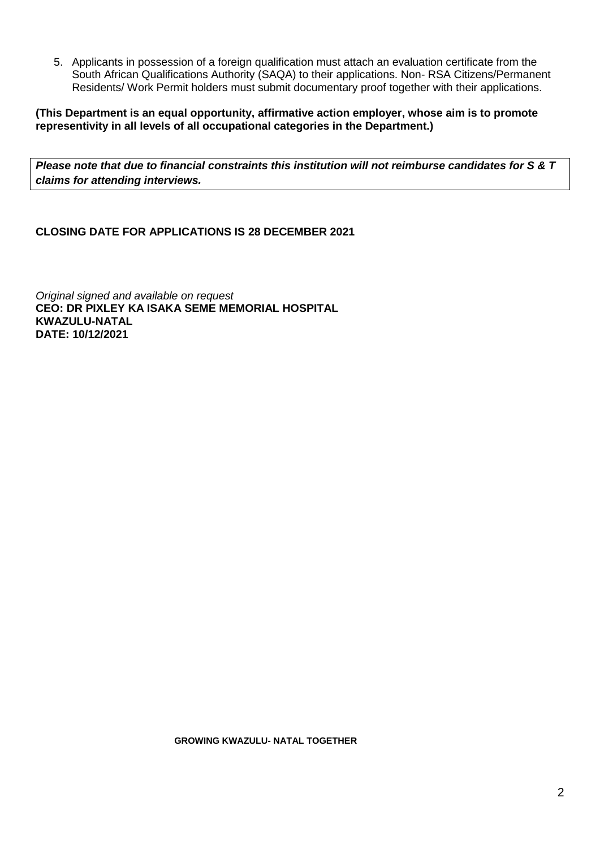5. Applicants in possession of a foreign qualification must attach an evaluation certificate from the South African Qualifications Authority (SAQA) to their applications. Non- RSA Citizens/Permanent Residents/ Work Permit holders must submit documentary proof together with their applications.

**(This Department is an equal opportunity, affirmative action employer, whose aim is to promote representivity in all levels of all occupational categories in the Department.)**

*Please note that due to financial constraints this institution will not reimburse candidates for S & T claims for attending interviews.*

**CLOSING DATE FOR APPLICATIONS IS 28 DECEMBER 2021**

*Original signed and available on request* **CEO: DR PIXLEY KA ISAKA SEME MEMORIAL HOSPITAL KWAZULU-NATAL DATE: 10/12/2021**

 **GROWING KWAZULU- NATAL TOGETHER**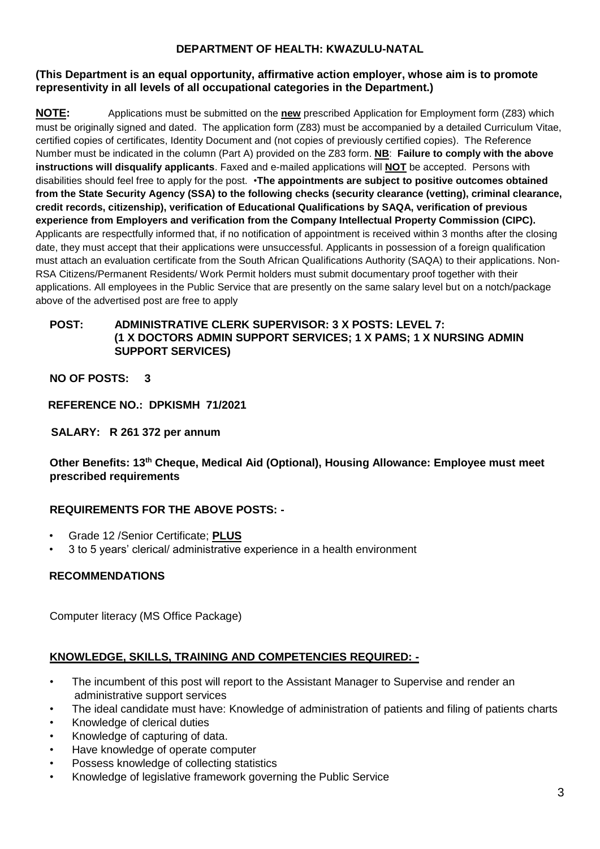## **DEPARTMENT OF HEALTH: KWAZULU-NATAL**

#### **(This Department is an equal opportunity, affirmative action employer, whose aim is to promote representivity in all levels of all occupational categories in the Department.)**

**NOTE:** Applications must be submitted on the **new** prescribed Application for Employment form (Z83) which must be originally signed and dated. The application form (Z83) must be accompanied by a detailed Curriculum Vitae, certified copies of certificates, Identity Document and (not copies of previously certified copies). The Reference Number must be indicated in the column (Part A) provided on the Z83 form. **NB**: **Failure to comply with the above instructions will disqualify applicants**. Faxed and e-mailed applications will **NOT** be accepted. Persons with disabilities should feel free to apply for the post. •**The appointments are subject to positive outcomes obtained from the State Security Agency (SSA) to the following checks (security clearance (vetting), criminal clearance, credit records, citizenship), verification of Educational Qualifications by SAQA, verification of previous experience from Employers and verification from the Company Intellectual Property Commission (CIPC).** Applicants are respectfully informed that, if no notification of appointment is received within 3 months after the closing date, they must accept that their applications were unsuccessful. Applicants in possession of a foreign qualification must attach an evaluation certificate from the South African Qualifications Authority (SAQA) to their applications. Non-RSA Citizens/Permanent Residents/ Work Permit holders must submit documentary proof together with their applications. All employees in the Public Service that are presently on the same salary level but on a notch/package above of the advertised post are free to apply

### **POST: ADMINISTRATIVE CLERK SUPERVISOR: 3 X POSTS: LEVEL 7: (1 X DOCTORS ADMIN SUPPORT SERVICES; 1 X PAMS; 1 X NURSING ADMIN SUPPORT SERVICES)**

**NO OF POSTS: 3**

### **REFERENCE NO.: DPKISMH 71/2021**

**SALARY: R 261 372 per annum** 

**Other Benefits: 13th Cheque, Medical Aid (Optional), Housing Allowance: Employee must meet prescribed requirements** 

## **REQUIREMENTS FOR THE ABOVE POSTS: -**

- Grade 12 /Senior Certificate; **PLUS**
- 3 to 5 years' clerical/ administrative experience in a health environment

## **RECOMMENDATIONS**

Computer literacy (MS Office Package)

## **KNOWLEDGE, SKILLS, TRAINING AND COMPETENCIES REQUIRED: -**

- The incumbent of this post will report to the Assistant Manager to Supervise and render an administrative support services
- The ideal candidate must have: Knowledge of administration of patients and filing of patients charts
- Knowledge of clerical duties
- Knowledge of capturing of data.
- Have knowledge of operate computer
- Possess knowledge of collecting statistics
- Knowledge of legislative framework governing the Public Service